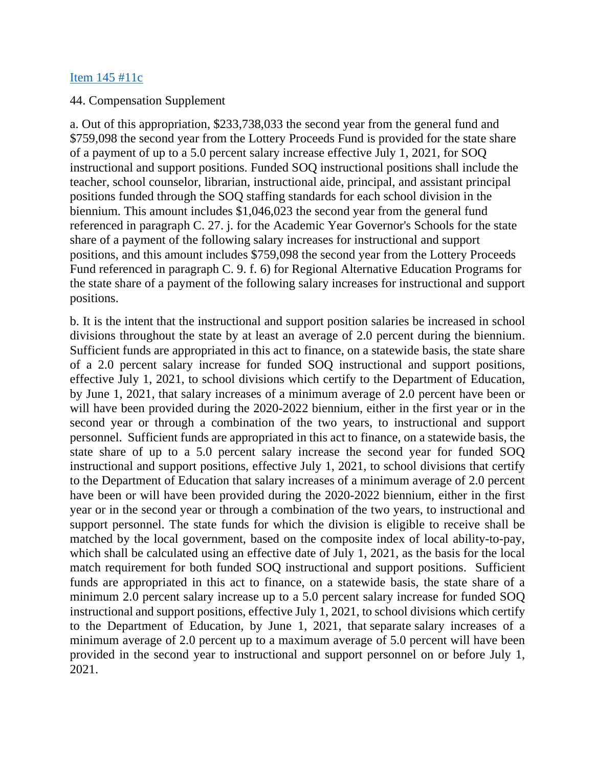## [Item 145 #11c](https://budget.lis.virginia.gov/amendment/2021/2/HB1800/Introduced/CR/145/11c/)

## 44. Compensation Supplement

a. Out of this appropriation, \$233,738,033 the second year from the general fund and \$759,098 the second year from the Lottery Proceeds Fund is provided for the state share of a payment of up to a 5.0 percent salary increase effective July 1, 2021, for SOQ instructional and support positions. Funded SOQ instructional positions shall include the teacher, school counselor, librarian, instructional aide, principal, and assistant principal positions funded through the SOQ staffing standards for each school division in the biennium. This amount includes \$1,046,023 the second year from the general fund referenced in paragraph C. 27. j. for the Academic Year Governor's Schools for the state share of a payment of the following salary increases for instructional and support positions, and this amount includes \$759,098 the second year from the Lottery Proceeds Fund referenced in paragraph C. 9. f. 6) for Regional Alternative Education Programs for the state share of a payment of the following salary increases for instructional and support positions.

b. It is the intent that the instructional and support position salaries be increased in school divisions throughout the state by at least an average of 2.0 percent during the biennium. Sufficient funds are appropriated in this act to finance, on a statewide basis, the state share of a 2.0 percent salary increase for funded SOQ instructional and support positions, effective July 1, 2021, to school divisions which certify to the Department of Education, by June 1, 2021, that salary increases of a minimum average of 2.0 percent have been or will have been provided during the 2020-2022 biennium, either in the first year or in the second year or through a combination of the two years, to instructional and support personnel. Sufficient funds are appropriated in this act to finance, on a statewide basis, the state share of up to a 5.0 percent salary increase the second year for funded SOQ instructional and support positions, effective July 1, 2021, to school divisions that certify to the Department of Education that salary increases of a minimum average of 2.0 percent have been or will have been provided during the 2020-2022 biennium, either in the first year or in the second year or through a combination of the two years, to instructional and support personnel. The state funds for which the division is eligible to receive shall be matched by the local government, based on the composite index of local ability-to-pay, which shall be calculated using an effective date of July 1, 2021, as the basis for the local match requirement for both funded SOQ instructional and support positions. Sufficient funds are appropriated in this act to finance, on a statewide basis, the state share of a minimum 2.0 percent salary increase up to a 5.0 percent salary increase for funded SOQ instructional and support positions, effective July 1, 2021, to school divisions which certify to the Department of Education, by June 1, 2021, that separate salary increases of a minimum average of 2.0 percent up to a maximum average of 5.0 percent will have been provided in the second year to instructional and support personnel on or before July 1, 2021.